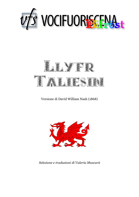



# Versione di David William Nash (1868)



*Selezione e traduzioni di Valeria Muscarà*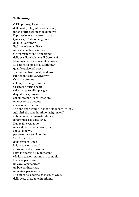## **X. Daronwy**

O Dio proteggi il santuario dalla vasta, dilagante inondazione; innanzitutto respingendo di nuovo l'oppressione attraverso il mare. Quale capo è stato più grande di lui, o Daronwy? Egli non è la mia difesa intorno al nobile santuario. C'è un mistero che è più grande dello scagliare la lancia di Goronwy? Meravigliose le sue formule magiche. La bacchetta magica di Mâthonwy quando arrivò nel bosco spuntarono frutti in abbondanza sulle sponde del Gwyllyonwy. Cynan la ottenne al tempo in cui governava. Ci sarà il ritorno ancora, sulla marea e sulla spiaggia di quattro capi sovrani e il quinto non [sarà] inferiore, un eroe forte e potente, allevato in Britannia. Le donne parleranno in modo eloquente [di lui]. Agli altri che sono in prigionia [giungerà] abbondanza da lungo desiderata di idromele e di cavalleria. Due regine verranno una vedova e una radiosa sposa, con ali di ferro, per governare sugli uomini. Verrà una stirpe dalla terra di Roma le loro canzoni e canti i loro inni e distribuzioni, sotto la quercia e il biancospino e le loro canzoni saranno in armonia. Un cane per tirare, un cavallo per correre un bue per incornare un maiale per scavare. La quinta bella forma che fece, fu Gesù. della veste di Adamo, in origine,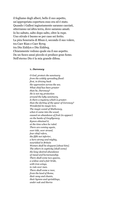il fogliame degli alberi, bello il suo aspetto, un'appropriata copertura esso era ed è stato. Quando i Gallesi ingiustamente saranno cacciati, otterranno un'altra terra, dove saranno amati. Io ho saltato, salto dopo salto, oltre la rupe. Uno stivale è buono se per caso sei ferito. La pira funeraria di Rhun è, secondo il suo volere, tra Caer Rian e Caer Rywg tra Din Eiddyn e Din Eiddwg. Chiaramente vedono quale sia il suo aspetto. Da un fuoco assai piccolo si produce gran fumo. Nell'eterno Dio è la mia grande difesa.

#### **X.** *Daronwy*

*O God, protect che sanctuary from the widely spreading flood: first, in driving back the oppression across the sea. What chief has been greater than he, Daronwy? He is not my protection around the lofty sanctuary. Is there a mystery which is greater. than the darting of the spear of Goronwy? Wonderful its magic lore. The magic wand of Mathonwy, when it came into the wood, caused an abundance of fruit (to appear) on the banks of Gwyllyonwy. Kynon obtained it, at the time when he ruled. There are coming again, over tide, over strand, four chief rulers, the fifth not inferior, a hero strong and mighty, nourished in Britain Women shall be eloquent [about him]. The others in captivity [shall come] the long-desired abundance of mead and horsemanship. There shall come two queens, a widow and a fair bride, with iron wings, to rule over men. There shall come a race, from the land of Rome, their song and chants, their hymns and sprinklings, under oak and thorns*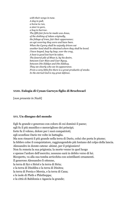*with their songs in tune. A dog to pull, a horse tu run, a steer to gore, a hog to burrow. The fifth fair form he made was Jesus, of the clothing of Adam originally, the foliage of trees, fair their appareance; an apt covering they were and have been. When the Cymry shall be unjustly driven out another land shall be obtained where they shall be loved. I have leaped, leap by leap, over the crag, A boot is good lest hurt be taken. The funeral pile of Rhun is, by his desire, between Caer Rian and Caer Rywg, between Din Eiddyn and Din Eiddwg. They see clearly who see its appearance. From a very little fire there is a great productin of smoke. In the eternal God is my great defence.*

# **XXIII. Eulogia di Cynan Garwyn figlio di Brochwael**

[*non presente in Nash*]

# **XVI. Un disegno del mondo**

Egli fu grande e generoso con coloro di cui dominò il paese; egli fu il più munifico e meraviglioso dei principi; forte fu il veleno, dolore per i suoi compatrioti; egli sconfisse Dario tre volte in battaglia. Ma non rimarrà il più grande nella terra di Dario, colui che porta le piume; la febbre colse il conquistatore, raggiungendolo più lontano del colpo della lancia. Alessandro in dorate catene: ahimè, per il prigioniero! Non fu remota la sua prigionia; la morte venne in quel luogo e spense l'ardore dell'esercito; nessuno sarà in debito verso di lui. Ricoperto, va alla sua tomba arricchita con scintillanti ornamenti. Il generoso Alessandro lì ottenne, la terra di Syr e Siriol e la terra di Siria; e la terra di Dinifdra e la terra di Dinitra; la terra di Persia e Mersia, e la terra di Cana; e le isole di Pleth e Phletheppa; e la città di Babilonia e Agascia la grande;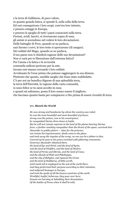e la terra di Galldarus, di poco valore, in quanto grande fatica, si spende lì, sulla zolla della terra. Ed essi conseguirono i loro scopi, com'era loro intento, e presero ostaggi in Europa, e presero le spoglie di tutti i paesi conosciuti sulla terra. Furiosi, avidi, lascivi, si riversarono sopra di essa; gli animi si accendono nel vedere le loro devastazioni. Delle battaglie di Poro, quando se ne parlava, sazi furono i corvi, le loro teste si sporcarono (di sangue). Dei soldati del Mago, quando se ne parlava, il tuo paese non ti chiederà ragione delle sue devastazioni? Non ci sarà per te liberazione dall'estrema fatica? Per l'ansia e la fatica e le avversità centomila milioni perirono per la sete. Invano essi stanno cercando i loro soldati. Avvelenato fu l'eroe prima che potesse raggiungere la sua dimora. Piuttosto che questo, sarebbe meglio che fosse stato soddisfatto. C'è per noi un benefico Signore di una splendida terra, la terra dell'Eternità, la regione della vasta comunità, io sono felice se tu sarai accolto in essa; e quanti mi udiranno, possa il loro sonno essere il migliore, che facciano quanto basta per compiacere a Dio prima di essere rivestiti di terra.

### **XVI***. Sketch the World*

*He was strong and handsome by whom the country was ruled; he was the most bountiful and most beautiful of princes; strong was the poison, woe to his countrymen; he vanquished Darius three times in battle. But he will not remain supreme in the land of the plume-bearing Darius; fever, a farther reaching vanquisher than the thrust of the spear, overtook him. Alexander in golden fetters — alas! for the prisoner, not remote his imprisonment; death came to the place, and took away the impulse of the army; no one can be a debtor to him. Covered up he goes to his grave enriched with glittering ornaments. Generous Alexander obtained there, the land of Syr and Siriol, and the land of Syria; and the land of Dinifdra, and the land of Dinitra; the land of Persia and Mersia, and the land of Cana; and the islands of Pleth and Phletheppa; and the city of Babylon, and Agascia the Great; and the land of Halldarus, of little worth, until much toil is employed on the sod of the earth there. And they performed their purpose according to their intention, and subjected hostages in Europe, and took the spoils of all the known countries of the earth. Wrathful, lustful, lecherous, they pour over here; breasts are burning at beholding their devastation. Of the battles of Porus when it shall be told,*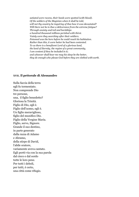*satiated were ravens, their heeds were spotted (with blood). Of the soldiers of the Magician when it shall be told, will not thy country be inquiring of thee how it was devastated? Will there not be to thee a deliverance from the extreme fatigue? Through anxiety and toil and hardships a hundred thousand millions perished with thirst. Vainly were they searching after their soldiers. Poisoned was the hero before he could reach his habitation. Rather than this, it were better he had been contented. To us there is a beneficent Lord of a glorious land, the land of Eternity, the region of a great community, I am content if thou be included in it; and whoever shall hear me may his sleep be the better, they do enough who please God before they are clothed with earth.*

## **XVII. Il pettorale di Alessandro**

Sulla faccia della terra egli fu tormentato. Non comprende Dio tre persone, una, il figlio benedetto? Gloriosa la Trinità. Figlio di Dio, egli è. Figlio dell'uomo, egli è. Un figlio meraviglioso, figlio del munifico Dio. Figlio della Vergine Maria. Figlio, servo, Signore. Grande il suo destino, in parte generato dalla razza di Adamo e Abramo, della stirpe di David, l'abile oratore, variamente aveva cantato. Egli portò via con la sua parola dal cieco e dal sordo tutte le loro pene. Per tutti i deboli, per tutti, è certo, una città come rifugio.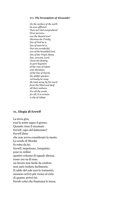#### **XVI***. The breastplate of Alexander*

*On the surface of the earth he was afflicted. Does not God comprehend three persons, one the blessed son? Glorious the Trinity. Son of God he is. Son of man he is. One son wonderful, son of the bountiful God. Son of the Virgin Mary. Son, servant, Lord. Great his destiny, in part begotten of the race of Adam and Abraham, of the line of David, the skilful speaker, variously he sung. He took away by his word from the blind and deaf all their sadness. For all the weak, for all, it is certain, a city of refuge.*

## **XL. Elegia di Ercwlf**

La terra gira, così la notte segue il giorno. Quando visse il rinomato Ercwlf, capo del battesimo? Ercwlf disse che non aveva considerato la morte. Lo scudo di Mordei fu rotto da lui. Ercwlf, impetuoso, irrequieto, pose in ordine quattro colonne di uguale altezza, rosso oro su di esse, un lavoro non facile da credere, non sarà creduto facilmente. Il caldo del sole non lo tormentò; nessuno arrivò più vicino al cielo di quanto arrivò lui. Ercole colui che frantuma le mura,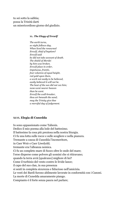tu sei sotto la sabbia; possa la Trinità darti un misericordioso giorno del giudizio.

#### **XL***. The Elegy of Ercwlf*

*The earth turns, so night follows day. When lived the renowned Ercwlf, chief of baptism? Ercwlf said he did not take account of death. The shield of Mordei by him was broken. Ercwlf place in order, impetuous, frantic, four columns of equal height, red gold upon them, a work not easily to be believed, easily believed it will not be. The heat of the sun did not vex him; none went nearer heaven than he went. Ercwlf the wall-breaker, thou art beneath the sand; may the Trinity give thee a merciful day of judgement.*

## **XLVI. Elegia di Cunedda**

Io sono appassionato come Taliesin. Dedico il mio poema alla lode del battesimo. Il battesimo la cosa più preziosa nella nostra liturgia. Ci fu una lotta sulle rocce e sulle scogliere e nella pianura. Tremante a causa di Cunedda l'inceneritore, in Caer Weir e Caer Liwelydd; tremante era l'alleanza nemica. Ci fu un completo mare di fuoco oltre le onde del mare; l'eroe disperse come polvere gli uomini che si ritiravano; quando la terra avrà [qualcuno] migliore di lui? Come il turbinio del vento contro le livide lance; il capo del suo clan, in sua presenza si sentì in completa sicurezza e fiducioso nell'amicizia. Le vesti dei Bardi furono abilmente lavorate in conformità con i Canoni. La morte di Cunedda amaramente piango. Compianto è il forte senza paura nel parlare;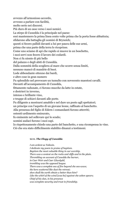avvezzo all'armonioso accordo, avvezzo a parlare con facilità, molto serio nei discorsi. Più duro di un osso verso i suoi nemici. La stirpe di Cunedda è la principale nel paese: essi mantennero la prima linea cento volte prima che la porta fosse abbattuta; sfidarono alla battaglia gli uomini di Bryneich; questi si fecero pallidi davanti a lui per paura delle sue armi, prima che una parte della terra lo ricoprisse. Come uno sciame di api che rapido si muove in un boschetto, i suoi servi non fecero il lavoro dei codardi. Non ci fu niente di più bello del palazzo e degli abiti di Cunedda. Dalla sommità della scogliera al mare che scorre senza limiti, nessuno mancò di mandrie di buoi. Lode abbondante ottenne dai bardi, e altre cose in gran numero Fu splendido nel provocare un tumulto con novecento maestosi cavalli. Davanti all'accampamento di Cunedda, fittamente radunate, ci furono mucche da latte in estate, e destrieri in inverno, intenso e brillante vino, e truppe di schiavi davanti alle porte. Fu diligente a mostrarsi amabile e nel dare un posto agli spettatori; un principe con l'aspetto di un giovane leone, raffinato al banchetto. Alla presenza del figlio di Edern i comandanti furono atterriti; ostentò ardimento smisurato, fu eminente nel sollevare qui lo scudo; uomini audaci furono i suoi capi. Io rispettosamente chiedo una parte del banchetto, e una ricompensa in vino.

Ciò che era stato difficilmente stabilito dinanzi a testimoni.

# **XLVI***. The Elegy of Cunedda*

*I am ardent as Taliesin. I dedicate my poem in praise of baptism. Baptism the most valuable thing in our worship. There was a contest on the rocks and cliffs and in the plain. Thrembling on account of Cunedda the burner, in Caer Weir and Caer Lliwelydd, trembling was the opposed league. There was a complete sea of fire beyond che sea-wave; the hero scattered like dust the retreat; shen shall the earth obtain a better than him? Like the whirl of the wind [was he] against che ashen spears; Chief of his clan, in his presence was complete security and trust in friendship.*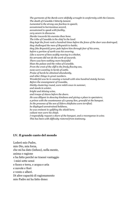*The garments of the Bards were skilfully wrought in conformity with the Canons. The death of Cunedda I bitterly lament. Lamented is the strong one fearless in speech; accustomed to harmonious accord, accustomed to speak with facility, very severe in discourse. Harder towards his enemies than bone. The tribe of Cunedda is the chief in the land: they kept the front rank a hundred times before the fence of the door was destroyed; they challenged the men of Bryneich to battle; they [the Bryneich] grew pale before him through fear of his arms, before a portion of earth was his covering. Like a swarm of bees swiftly moving in a thicket, his servants did not do the work of cowards. There was here nothing more beautiful hhan the palace and the robes of Cunedda. From the crest of the cliff to the freely flowing sea, none were wanting in herds of cattle. Praise of bards he obtained abundantly, and other things in great numbers. Wonderful was he in causing a tumult with nine hundred stately horses. Before the encampment of Cunedda, thickly clustering round, were milch cows in summer, and steeds in winter, bright and shining wine, and troops of slaves before the doors. He was diligent in showing kindness and giving a place to spectators; a prince with the countenance of a young lion, graceful at the banquet. In the presence of the son of Edern chieftains were terrified; he displayed unrestrained boldness, he was eminent in uplifting the shield here; valiant men were his chiefs. I respectfully request a share of the banquet, and a recompense in wine. This has been with difficulty restored from testimony.*

## **LV. Il grande canto del mondo**

Loderò mio Padre, mio Dio, mia forza, che mi ha dato (infuso), nella mente, anima e ragione e ha fatto perché ne traessi vantaggio i miei sette sensi e fuoco e terra, e acqua e aria e nuvole e fiori e vento e alberi. Di altre capacità di ragionamento mio Padre mi ha fatto dono: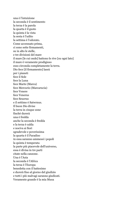una è l'intuizione la seconda è il sentimento la terza è la parola la quarta è il gusto la quinta è la vista la sesta è l'udito la settima è l'odorato. Come accennato prima, ci sono sette firmamenti, su in alto le stelle, e tre divisioni del mare il mare [le cui onde] battono le rive [su ogni lato] il mare è veramente prodigioso esso circonda completamente la terra. Dio fece [il firmamento] lassù per i pianeti fece il Sole fece la Luna fece Marte (Marca) fece Mercurio (Marcarucia) fece Venere fece Venerus fece Seuerus e il settimo è Satwrnus. Il buon Dio divise la terra in cinque zone finchè durerà una è fredda anche la seconda è fredda e la terza è calda e nociva ai fiori sgradevole e poverissima la quarta è il Paradiso in essa saranno ammessi i popoli la quinta è temperata la parte più piacevole dell'universo, essa è divisa in tre parti citate nella canzone. Una è l'Asia la seconda è l'Africa la terza è l'Europa benedetta con il battesimo e durerà fino al giorno del giudizio e tutti i più malvagi saranno giudicati. Veramente grande è la mia Musa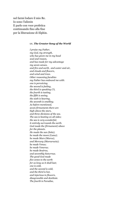nel farmi lodare il mio Re. Io sono Taliesin E parlo con voce profetica continuando fino alla fine per la liberazione di Elphin.

#### **LV***. The Greater Song of the World*

*I praise my Father, my God, my strength, who has given me in my head soul and reason, and has made for my advantage my seven senses, and fire and earth, and water and air, and clouds and flowers, and wind and trees. Other reasoning faculties my Father has endowed me with: one is perceiving, the second is feeling, the third is speaking (?), the fourth is tasting, the fifth is seeing, the sixth is hearing, the seventh is smelling. As before mentioned, seven firmaments there are high above the stars, and three divisions of the sea. The sea is beating on all sides; the sea is very wonderful; it entirely surrounds the earth. God made the (firmament) above for the planets. He made the sun (Sola); he made the moon (Luna); he made Mars (Marca), and Mercury (Marcarucia); he made Venus; he made Venerus; he made Seuèrus, and seventhly Satwrnus. The good God made five zones to the earth for as long as it shall last; one is cold, and the second is cold, and the third is hot, and injurious to flowers, disagreeable and destitute. The fourth is Paradise,*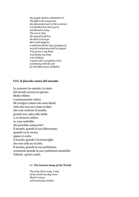*the people shall be admitted to it. The fifth is the temperate, the pleasantest part of the universe; it is divided into three parts, mentioned in song. The one is Asia, the second is Africa, the third is Europe blest with baptism: it shall last till the day of judgment, and all wickedness shall be judged. Very great is my Muse in praising my King. I am Taliesin, I speak with a prophetic voice, continuing until the end for the deliverance of Elphin.*

# **LVI. Il piccolo canto del mondo**

La canzone ho cantato, io canto del mondo ancora un giorno. Molto rifletto e ansiosamente valuto. Mi rivolgo a coloro che sono Bardi, visto che non mi è stato svelato che cosa sostiene il mondo, perché non cade sulle stelle: o, se dovesse cadere, su cosa cadrebbe chi potrebbe sostenerlo? Il mondo, grande la sua distruzione, quando va in rovina eppure è certo. Il mondo, grande è la meraviglia che non cada su un lato. Il mondo, grande la sua perfezione, veramente grande la sua condizione immobile. Taliesin questo cantò.

#### **LV***. The Greater Song of the World*

*The song I have sung, I sing of the world one day more. Much I reason, and anxiously consider.*